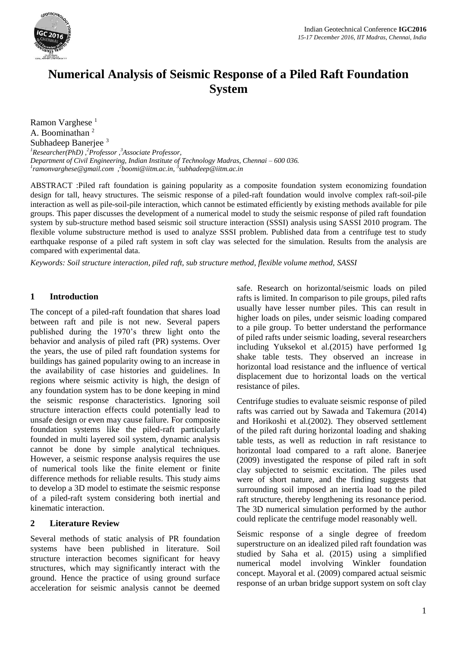

# **Numerical Analysis of Seismic Response of a Piled Raft Foundation System**

Ramon Varghese<sup>1</sup> A. Boominathan<sup>2</sup> Subhadeep Banerjee <sup>3</sup> *<sup>1</sup>Researcher(PhD) , <sup>2</sup>Professor , <sup>3</sup>Associate Professor, Department of Civil Engineering, Indian Institute of Technology Madras, Chennai – 600 036. 1 ramonvarghese@gmail.com , 2 boomi@iitm.ac.in, <sup>3</sup> subhadeep@iitm.ac.in*

ABSTRACT :Piled raft foundation is gaining popularity as a composite foundation system economizing foundation design for tall, heavy structures. The seismic response of a piled-raft foundation would involve complex raft-soil-pile interaction as well as pile-soil-pile interaction, which cannot be estimated efficiently by existing methods available for pile groups. This paper discusses the development of a numerical model to study the seismic response of piled raft foundation system by sub-structure method based seismic soil structure interaction (SSSI) analysis using SASSI 2010 program. The flexible volume substructure method is used to analyze SSSI problem. Published data from a centrifuge test to study earthquake response of a piled raft system in soft clay was selected for the simulation. Results from the analysis are compared with experimental data.

*Keywords: Soil structure interaction, piled raft, sub structure method, flexible volume method, SASSI*

### **1 Introduction**

The concept of a piled-raft foundation that shares load between raft and pile is not new. Several papers published during the 1970's threw light onto the behavior and analysis of piled raft (PR) systems. Over the years, the use of piled raft foundation systems for buildings has gained popularity owing to an increase in the availability of case histories and guidelines. In regions where seismic activity is high, the design of any foundation system has to be done keeping in mind the seismic response characteristics. Ignoring soil structure interaction effects could potentially lead to unsafe design or even may cause failure. For composite foundation systems like the piled-raft particularly founded in multi layered soil system, dynamic analysis cannot be done by simple analytical techniques. However, a seismic response analysis requires the use of numerical tools like the finite element or finite difference methods for reliable results. This study aims to develop a 3D model to estimate the seismic response of a piled-raft system considering both inertial and kinematic interaction.

### **2 Literature Review**

Several methods of static analysis of PR foundation systems have been published in literature. Soil structure interaction becomes significant for heavy structures, which may significantly interact with the ground. Hence the practice of using ground surface acceleration for seismic analysis cannot be deemed

safe. Research on horizontal/seismic loads on piled rafts is limited. In comparison to pile groups, piled rafts usually have lesser number piles. This can result in higher loads on piles, under seismic loading compared to a pile group. To better understand the performance of piled rafts under seismic loading, several researchers including Yuksekol et al.(2015) have performed 1g shake table tests. They observed an increase in horizontal load resistance and the influence of vertical displacement due to horizontal loads on the vertical resistance of piles.

Centrifuge studies to evaluate seismic response of piled rafts was carried out by Sawada and Takemura (2014) and Horikoshi et al.(2002). They observed settlement of the piled raft during horizontal loading and shaking table tests, as well as reduction in raft resistance to horizontal load compared to a raft alone. Banerjee (2009) investigated the response of piled raft in soft clay subjected to seismic excitation. The piles used were of short nature, and the finding suggests that surrounding soil imposed an inertia load to the piled raft structure, thereby lengthening its resonance period. The 3D numerical simulation performed by the author could replicate the centrifuge model reasonably well.

Seismic response of a single degree of freedom superstructure on an idealized piled raft foundation was studied by Saha et al. (2015) using a simplified numerical model involving Winkler foundation concept. Mayoral et al. (2009) compared actual seismic response of an urban bridge support system on soft clay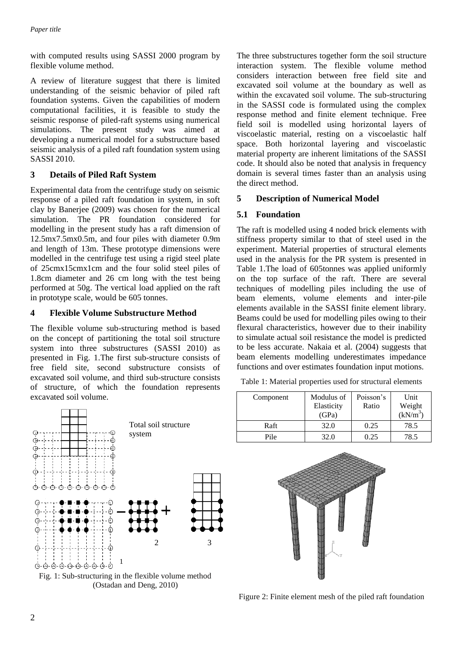with computed results using SASSI 2000 program by flexible volume method.

A review of literature suggest that there is limited understanding of the seismic behavior of piled raft foundation systems. Given the capabilities of modern computational facilities, it is feasible to study the seismic response of piled-raft systems using numerical simulations. The present study was aimed at developing a numerical model for a substructure based seismic analysis of a piled raft foundation system using SASSI 2010.

# **3 Details of Piled Raft System**

Experimental data from the centrifuge study on seismic response of a piled raft foundation in system, in soft clay by Banerjee (2009) was chosen for the numerical simulation. The PR foundation considered for modelling in the present study has a raft dimension of 12.5mx7.5mx0.5m, and four piles with diameter 0.9m and length of 13m. These prototype dimensions were modelled in the centrifuge test using a rigid steel plate of 25cmx15cmx1cm and the four solid steel piles of 1.8cm diameter and 26 cm long with the test being performed at 50g. The vertical load applied on the raft in prototype scale, would be 605 tonnes.

# **4 Flexible Volume Substructure Method**

The flexible volume sub-structuring method is based on the concept of partitioning the total soil structure system into three substructures (SASSI 2010) as presented in Fig. 1.The first sub-structure consists of free field site, second substructure consists of excavated soil volume, and third sub-structure consists of structure, of which the foundation represents excavated soil volume.

The three substructures together form the soil structure interaction system. The flexible volume method considers interaction between free field site and excavated soil volume at the boundary as well as within the excavated soil volume. The sub-structuring in the SASSI code is formulated using the complex response method and finite element technique. Free field soil is modelled using horizontal layers of viscoelastic material, resting on a viscoelastic half space. Both horizontal layering and viscoelastic material property are inherent limitations of the SASSI code. It should also be noted that analysis in frequency domain is several times faster than an analysis using the direct method.

### **5 Description of Numerical Model**

# **5.1 Foundation**

The raft is modelled using 4 noded brick elements with stiffness property similar to that of steel used in the experiment. Material properties of structural elements used in the analysis for the PR system is presented in Table 1.The load of 605tonnes was applied uniformly on the top surface of the raft. There are several techniques of modelling piles including the use of beam elements, volume elements and inter-pile elements available in the SASSI finite element library. Beams could be used for modelling piles owing to their flexural characteristics, however due to their inability to simulate actual soil resistance the model is predicted to be less accurate. Nakaia et al. (2004) suggests that beam elements modelling underestimates impedance functions and over estimates foundation input motions.

Table 1: Material properties used for structural elements

| Component | Modulus of<br>Elasticity<br>(GPa) | Poisson's<br>Ratio | Unit<br>Weight<br>$(kN/m^3)$ |
|-----------|-----------------------------------|--------------------|------------------------------|
| Raft      | 32.0                              | 0.25               | 78.5                         |
| Pile      | 32.0                              | 0.25               | 78.5                         |







Figure 2: Finite element mesh of the piled raft foundation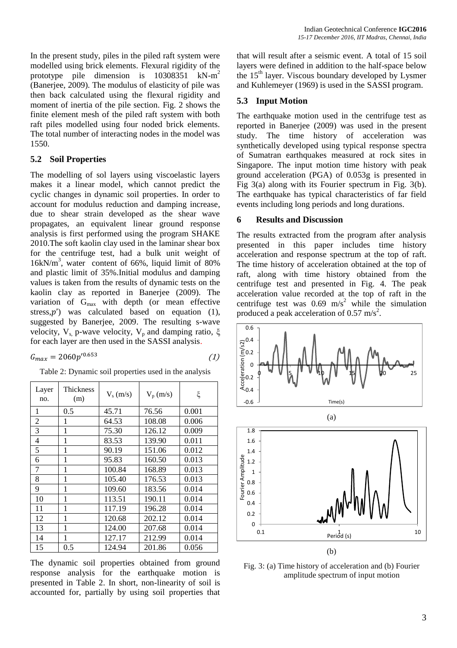In the present study, piles in the piled raft system were modelled using brick elements. Flexural rigidity of the prototype pile dimension is  $10308351$  kN-m<sup>2</sup> (Banerjee, 2009). The modulus of elasticity of pile was then back calculated using the flexural rigidity and moment of inertia of the pile section. Fig. 2 shows the finite element mesh of the piled raft system with both raft piles modelled using four noded brick elements. The total number of interacting nodes in the model was 1550.

### **5.2 Soil Properties**

The modelling of sol layers using viscoelastic layers makes it a linear model, which cannot predict the cyclic changes in dynamic soil properties. In order to account for modulus reduction and damping increase, due to shear strain developed as the shear wave propagates, an equivalent linear ground response analysis is first performed using the program SHAKE 2010.The soft kaolin clay used in the laminar shear box for the centrifuge test, had a bulk unit weight of 16kN/m<sup>3</sup> , water content of 66%, liquid limit of 80% and plastic limit of 35%.Initial modulus and damping values is taken from the results of dynamic tests on the kaolin clay as reported in Banerjee (2009). The variation of Gmax with depth (or mean effective stress, $p'$ ) was calculated based on equation (1), suggested by Banerjee, 2009. The resulting s-wave velocity,  $V_s$ , p-wave velocity,  $V_p$  and damping ratio, ξ for each layer are then used in the SASSI analysis.

$$
G_{max} = 2060p'^{0.653} \tag{1}
$$

|  | Table 2: Dynamic soil properties used in the analysis |  |  |
|--|-------------------------------------------------------|--|--|
|  |                                                       |  |  |
|  |                                                       |  |  |

| Layer<br>no.   | Thickness<br>(m) | $V_s$ (m/s) | $V_p(m/s)$ | ξ     |
|----------------|------------------|-------------|------------|-------|
| 1              | 0.5              | 45.71       | 76.56      | 0.001 |
| 2              | 1                | 64.53       | 108.08     | 0.006 |
| 3              | 1                | 75.30       | 126.12     | 0.009 |
| $\overline{4}$ | 1                | 83.53       | 139.90     | 0.011 |
| 5              | 1                | 90.19       | 151.06     | 0.012 |
| 6              | 1                | 95.83       | 160.50     | 0.013 |
| 7              | 1                | 100.84      | 168.89     | 0.013 |
| 8              | 1                | 105.40      | 176.53     | 0.013 |
| 9              | 1                | 109.60      | 183.56     | 0.014 |
| 10             | 1                | 113.51      | 190.11     | 0.014 |
| 11             | 1                | 117.19      | 196.28     | 0.014 |
| 12             | 1                | 120.68      | 202.12     | 0.014 |
| 13             | 1                | 124.00      | 207.68     | 0.014 |
| 14             | 1                | 127.17      | 212.99     | 0.014 |
| 15             | 0.5              | 124.94      | 201.86     | 0.056 |

The dynamic soil properties obtained from ground response analysis for the earthquake motion is presented in Table 2. In short, non-linearity of soil is accounted for, partially by using soil properties that

that will result after a seismic event. A total of 15 soil layers were defined in addition to the half-space below the 15<sup>th</sup> layer. Viscous boundary developed by Lysmer and Kuhlemeyer (1969) is used in the SASSI program.

#### **5.3 Input Motion**

The earthquake motion used in the centrifuge test as reported in Banerjee (2009) was used in the present study. The time history of acceleration was synthetically developed using typical response spectra of Sumatran earthquakes measured at rock sites in Singapore. The input motion time history with peak ground acceleration (PGA) of 0.053g is presented in Fig 3(a) along with its Fourier spectrum in Fig. 3(b). The earthquake has typical characteristics of far field events including long periods and long durations.

#### **6 Results and Discussion**

The results extracted from the program after analysis presented in this paper includes time history acceleration and response spectrum at the top of raft. The time history of acceleration obtained at the top of raft, along with time history obtained from the centrifuge test and presented in Fig. 4. The peak acceleration value recorded at the top of raft in the centrifuge test was  $0.69 \text{ m/s}^2$  while the simulation produced a peak acceleration of 0.57 m/s<sup>2</sup>.





Fig. 3: (a) Time history of acceleration and (b) Fourier amplitude spectrum of input motion